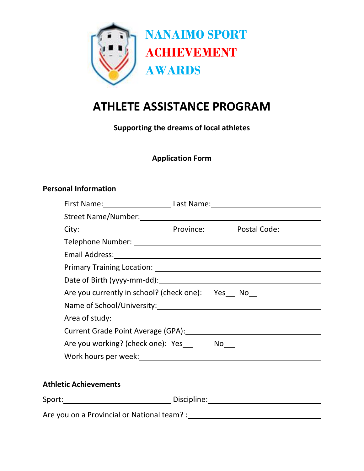

# **ATHLETE ASSISTANCE PROGRAM**

**Supporting the dreams of local athletes**

## **Application Form**

#### **Personal Information**

|                                                                                                                |  | First Name: ____________________________Last Name: _____________________________ |  |  |  |  |  |  |
|----------------------------------------------------------------------------------------------------------------|--|----------------------------------------------------------------------------------|--|--|--|--|--|--|
| Street Name/Number: 1997 - 1997 - 1998 - 1998 - 1999 - 1999 - 1999 - 1999 - 1999 - 1999 - 1999 - 1999 - 1999 - |  |                                                                                  |  |  |  |  |  |  |
|                                                                                                                |  |                                                                                  |  |  |  |  |  |  |
|                                                                                                                |  |                                                                                  |  |  |  |  |  |  |
|                                                                                                                |  |                                                                                  |  |  |  |  |  |  |
|                                                                                                                |  |                                                                                  |  |  |  |  |  |  |
|                                                                                                                |  |                                                                                  |  |  |  |  |  |  |
| Are you currently in school? (check one): Yes No                                                               |  |                                                                                  |  |  |  |  |  |  |
|                                                                                                                |  |                                                                                  |  |  |  |  |  |  |
|                                                                                                                |  |                                                                                  |  |  |  |  |  |  |
|                                                                                                                |  | Current Grade Point Average (GPA): [20] Current Grade Point Average (GPA):       |  |  |  |  |  |  |
| Are you working? (check one): Yes No                                                                           |  |                                                                                  |  |  |  |  |  |  |
| Work hours per week: University of the University of the University of the University of the University of the |  |                                                                                  |  |  |  |  |  |  |
|                                                                                                                |  |                                                                                  |  |  |  |  |  |  |

# **Athletic Achievements**

| Sport: |        |   |  | Discipline: |                          |  |  |  |  |
|--------|--------|---|--|-------------|--------------------------|--|--|--|--|
|        | $\sim$ | . |  |             | $\overline{\phantom{0}}$ |  |  |  |  |

Are you on a Provincial or National team? :